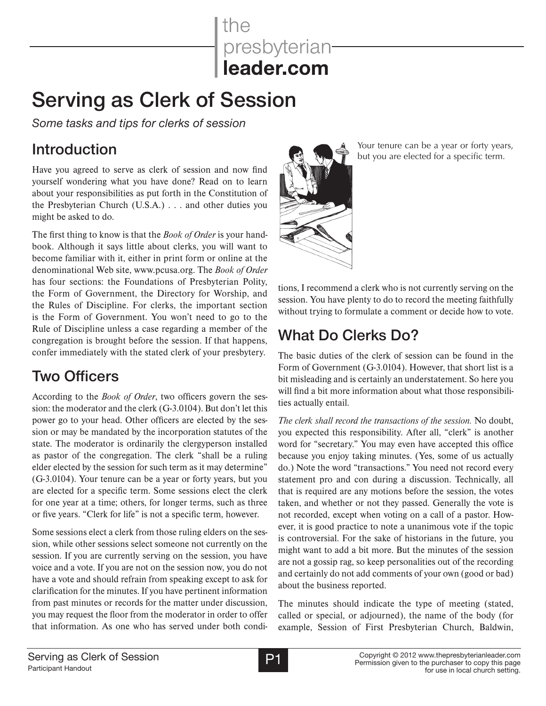the presbyterian

# **Serving as Clerk of Session**

*Some tasks and tips for clerks of session*

### Introduction

Have you agreed to serve as clerk of session and now find yourself wondering what you have done? Read on to learn about your responsibilities as put forth in the Constitution of the Presbyterian Church (U.S.A.) . . . and other duties you might be asked to do.

The first thing to know is that the *Book of Order* is your handbook. Although it says little about clerks, you will want to become familiar with it, either in print form or online at the denominational Web site, www.pcusa.org. The *Book of Order* has four sections: the Foundations of Presbyterian Polity, the Form of Government, the Directory for Worship, and the Rules of Discipline. For clerks, the important section is the Form of Government. You won't need to go to the Rule of Discipline unless a case regarding a member of the congregation is brought before the session. If that happens, confer immediately with the stated clerk of your presbytery.

#### Two Officers

According to the *Book of Order*, two officers govern the session: the moderator and the clerk (G-3.0104). But don't let this power go to your head. Other officers are elected by the session or may be mandated by the incorporation statutes of the state. The moderator is ordinarily the clergyperson installed as pastor of the congregation. The clerk "shall be a ruling elder elected by the session for such term as it may determine" (G-3.0104). Your tenure can be a year or forty years, but you are elected for a specific term. Some sessions elect the clerk for one year at a time; others, for longer terms, such as three or five years. "Clerk for life" is not a specific term, however.

Some sessions elect a clerk from those ruling elders on the session, while other sessions select someone not currently on the session. If you are currently serving on the session, you have voice and a vote. If you are not on the session now, you do not have a vote and should refrain from speaking except to ask for clarification for the minutes. If you have pertinent information from past minutes or records for the matter under discussion, you may request the floor from the moderator in order to offer that information. As one who has served under both condi-



Your tenure can be a year or forty years, but you are elected for a specific term.

tions, I recommend a clerk who is not currently serving on the session. You have plenty to do to record the meeting faithfully without trying to formulate a comment or decide how to vote.

## What Do Clerks Do?

The basic duties of the clerk of session can be found in the Form of Government (G-3.0104). However, that short list is a bit misleading and is certainly an understatement. So here you will find a bit more information about what those responsibilities actually entail.

*The clerk shall record the transactions of the session.* No doubt, you expected this responsibility. After all, "clerk" is another word for "secretary." You may even have accepted this office because you enjoy taking minutes. (Yes, some of us actually do.) Note the word "transactions." You need not record every statement pro and con during a discussion. Technically, all that is required are any motions before the session, the votes taken, and whether or not they passed. Generally the vote is not recorded, except when voting on a call of a pastor. However, it is good practice to note a unanimous vote if the topic is controversial. For the sake of historians in the future, you might want to add a bit more. But the minutes of the session are not a gossip rag, so keep personalities out of the recording and certainly do not add comments of your own (good or bad) about the business reported.

The minutes should indicate the type of meeting (stated, called or special, or adjourned), the name of the body (for example, Session of First Presbyterian Church, Baldwin,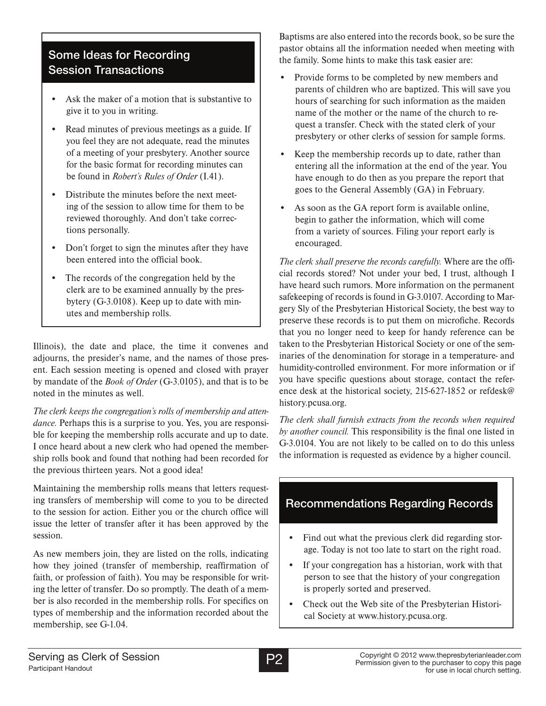#### Some Ideas for Recording Session Transactions

- Ask the maker of a motion that is substantive to give it to you in writing.
- Read minutes of previous meetings as a guide. If you feel they are not adequate, read the minutes of a meeting of your presbytery. Another source for the basic format for recording minutes can be found in *Robert's Rules of Order* (I.41).
- Distribute the minutes before the next meeting of the session to allow time for them to be reviewed thoroughly. And don't take corrections personally.
- Don't forget to sign the minutes after they have been entered into the official book.
- The records of the congregation held by the clerk are to be examined annually by the presbytery (G-3.0108). Keep up to date with minutes and membership rolls.

Illinois), the date and place, the time it convenes and adjourns, the presider's name, and the names of those present. Each session meeting is opened and closed with prayer by mandate of the *Book of Order* (G-3.0105), and that is to be noted in the minutes as well.

*The clerk keeps the congregation's rolls of membership and attendance.* Perhaps this is a surprise to you. Yes, you are responsible for keeping the membership rolls accurate and up to date. I once heard about a new clerk who had opened the membership rolls book and found that nothing had been recorded for the previous thirteen years. Not a good idea!

Maintaining the membership rolls means that letters requesting transfers of membership will come to you to be directed to the session for action. Either you or the church office will issue the letter of transfer after it has been approved by the session.

As new members join, they are listed on the rolls, indicating how they joined (transfer of membership, reaffirmation of faith, or profession of faith). You may be responsible for writing the letter of transfer. Do so promptly. The death of a member is also recorded in the membership rolls. For specifics on types of membership and the information recorded about the membership, see G-1.04.

Baptisms are also entered into the records book, so be sure the pastor obtains all the information needed when meeting with the family. Some hints to make this task easier are:

- Provide forms to be completed by new members and parents of children who are baptized. This will save you hours of searching for such information as the maiden name of the mother or the name of the church to request a transfer. Check with the stated clerk of your presbytery or other clerks of session for sample forms.
- Keep the membership records up to date, rather than entering all the information at the end of the year. You have enough to do then as you prepare the report that goes to the General Assembly (GA) in February.
- As soon as the GA report form is available online, begin to gather the information, which will come from a variety of sources. Filing your report early is encouraged.

*The clerk shall preserve the records carefully.* Where are the official records stored? Not under your bed, I trust, although I have heard such rumors. More information on the permanent safekeeping of records is found in G-3.0107. According to Margery Sly of the Presbyterian Historical Society, the best way to preserve these records is to put them on microfiche. Records that you no longer need to keep for handy reference can be taken to the Presbyterian Historical Society or one of the seminaries of the denomination for storage in a temperature- and humidity-controlled environment. For more information or if you have specific questions about storage, contact the reference desk at the historical society, 215-627-1852 or refdesk@ history.pcusa.org.

*The clerk shall furnish extracts from the records when required by another council.* This responsibility is the final one listed in G-3.0104. You are not likely to be called on to do this unless the information is requested as evidence by a higher council.

#### Recommendations Regarding Records

- Find out what the previous clerk did regarding storage. Today is not too late to start on the right road.
- If your congregation has a historian, work with that person to see that the history of your congregation is properly sorted and preserved.
- Check out the Web site of the Presbyterian Historical Society at www.history.pcusa.org.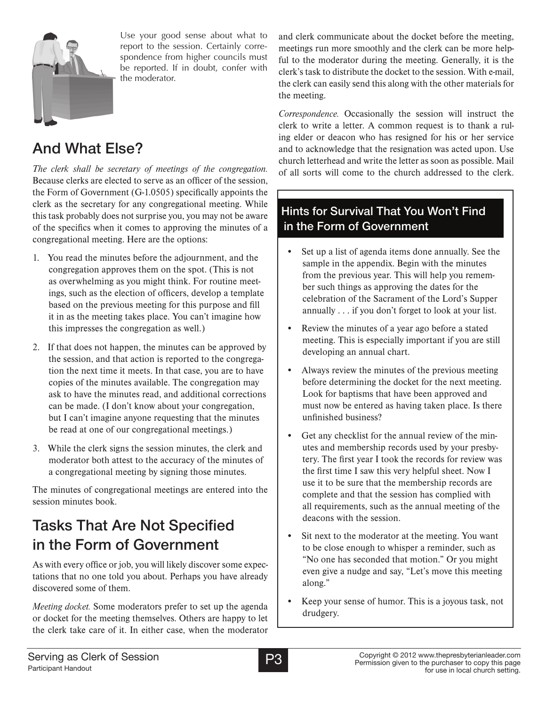

Use your good sense about what to report to the session. Certainly correspondence from higher councils must be reported. If in doubt, confer with the moderator.

#### And What Else?

*The clerk shall be secretary of meetings of the congregation.*  Because clerks are elected to serve as an officer of the session, the Form of Government (G-1.0505) specifically appoints the clerk as the secretary for any congregational meeting. While this task probably does not surprise you, you may not be aware of the specifics when it comes to approving the minutes of a congregational meeting. Here are the options:

- 1. You read the minutes before the adjournment, and the congregation approves them on the spot. (This is not as overwhelming as you might think. For routine meetings, such as the election of officers, develop a template based on the previous meeting for this purpose and fill it in as the meeting takes place. You can't imagine how this impresses the congregation as well.)
- 2. If that does not happen, the minutes can be approved by the session, and that action is reported to the congregation the next time it meets. In that case, you are to have copies of the minutes available. The congregation may ask to have the minutes read, and additional corrections can be made. (I don't know about your congregation, but I can't imagine anyone requesting that the minutes be read at one of our congregational meetings.)
- 3. While the clerk signs the session minutes, the clerk and moderator both attest to the accuracy of the minutes of a congregational meeting by signing those minutes.

The minutes of congregational meetings are entered into the session minutes book.

### Tasks That Are Not Specified in the Form of Government

As with every office or job, you will likely discover some expectations that no one told you about. Perhaps you have already discovered some of them.

*Meeting docket.* Some moderators prefer to set up the agenda or docket for the meeting themselves. Others are happy to let the clerk take care of it. In either case, when the moderator and clerk communicate about the docket before the meeting, meetings run more smoothly and the clerk can be more helpful to the moderator during the meeting. Generally, it is the clerk's task to distribute the docket to the session. With e-mail, the clerk can easily send this along with the other materials for the meeting.

*Correspondence.* Occasionally the session will instruct the clerk to write a letter. A common request is to thank a ruling elder or deacon who has resigned for his or her service and to acknowledge that the resignation was acted upon. Use church letterhead and write the letter as soon as possible. Mail of all sorts will come to the church addressed to the clerk.

#### Hints for Survival That You Won't Find in the Form of Government

- Set up a list of agenda items done annually. See the sample in the appendix. Begin with the minutes from the previous year. This will help you remember such things as approving the dates for the celebration of the Sacrament of the Lord's Supper annually . . . if you don't forget to look at your list.
- Review the minutes of a year ago before a stated meeting. This is especially important if you are still developing an annual chart.
- Always review the minutes of the previous meeting before determining the docket for the next meeting. Look for baptisms that have been approved and must now be entered as having taken place. Is there unfinished business?
- Get any checklist for the annual review of the minutes and membership records used by your presbytery. The first year I took the records for review was the first time I saw this very helpful sheet. Now I use it to be sure that the membership records are complete and that the session has complied with all requirements, such as the annual meeting of the deacons with the session.
- Sit next to the moderator at the meeting. You want to be close enough to whisper a reminder, such as "No one has seconded that motion." Or you might even give a nudge and say, "Let's move this meeting along."
- Keep your sense of humor. This is a joyous task, not drudgery.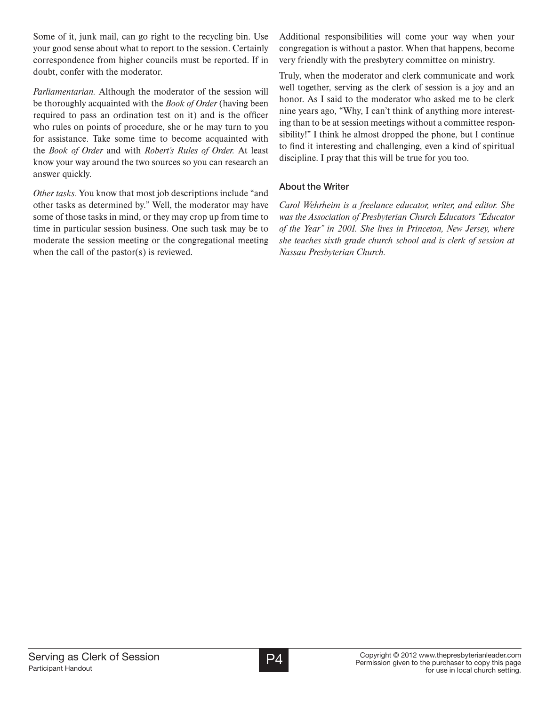Some of it, junk mail, can go right to the recycling bin. Use your good sense about what to report to the session. Certainly correspondence from higher councils must be reported. If in doubt, confer with the moderator.

*Parliamentarian.* Although the moderator of the session will be thoroughly acquainted with the *Book of Order* (having been required to pass an ordination test on it) and is the officer who rules on points of procedure, she or he may turn to you for assistance. Take some time to become acquainted with the *Book of Order* and with *Robert's Rules of Order.* At least know your way around the two sources so you can research an answer quickly.

*Other tasks.* You know that most job descriptions include "and other tasks as determined by." Well, the moderator may have some of those tasks in mind, or they may crop up from time to time in particular session business. One such task may be to moderate the session meeting or the congregational meeting when the call of the pastor(s) is reviewed.

Additional responsibilities will come your way when your congregation is without a pastor. When that happens, become very friendly with the presbytery committee on ministry.

Truly, when the moderator and clerk communicate and work well together, serving as the clerk of session is a joy and an honor. As I said to the moderator who asked me to be clerk nine years ago, "Why, I can't think of anything more interesting than to be at session meetings without a committee responsibility!" I think he almost dropped the phone, but I continue to find it interesting and challenging, even a kind of spiritual discipline. I pray that this will be true for you too.

#### **About the Writer**

*Carol Wehrheim is a freelance educator, writer, and editor. She was the Association of Presbyterian Church Educators "Educator of the Year" in 2001. She lives in Princeton, New Jersey, where she teaches sixth grade church school and is clerk of session at Nassau Presbyterian Church.*